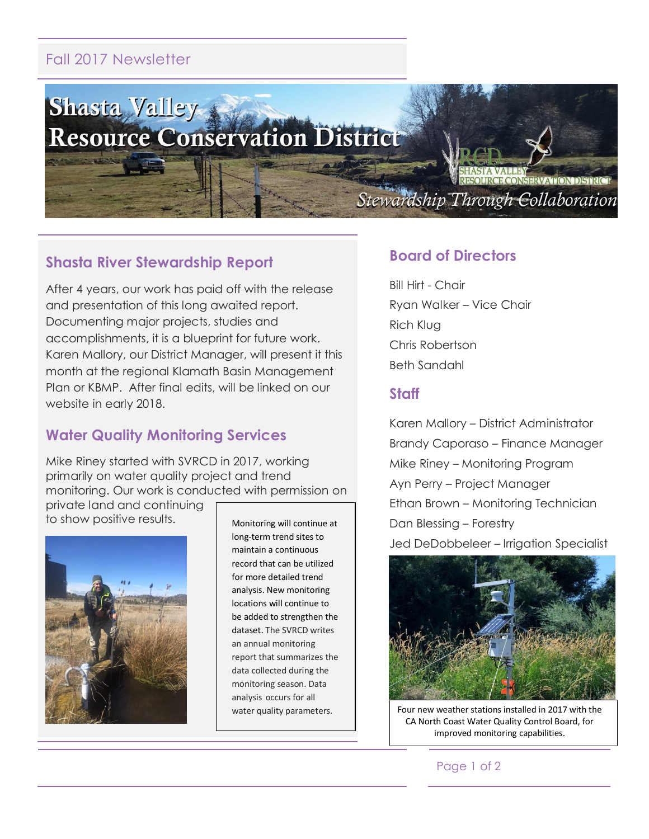# Fall 2017 Newsletter



## **Shasta River Stewardship Report**

After 4 years, our work has paid off with the release and presentation of this long awaited report. Documenting major projects, studies and accomplishments, it is a blueprint for future work. Karen Mallory, our District Manager, will present it this month at the regional Klamath Basin Management Plan or KBMP. After final edits, will be linked on our website in early 2018.

## **Water Quality Monitoring Services**

Mike Riney started with SVRCD in 2017, working primarily on water quality project and trend monitoring. Our work is conducted with permission on

private land and continuing to show positive results.



Monitoring will continue at long-term trend sites to maintain a continuous record that can be utilized for more detailed trend analysis. New monitoring locations will continue to be added to strengthen the dataset. The SVRCD writes an annual monitoring report that summarizes the data collected during the monitoring season. Data analysis occurs for all water quality parameters.

### **Board of Directors**

Bill Hirt - Chair Ryan Walker – Vice Chair Rich Klug Chris Robertson Beth Sandahl

#### **Staff**

Karen Mallory – District Administrator Brandy Caporaso – Finance Manager Mike Riney – Monitoring Program Ayn Perry – Project Manager Ethan Brown – Monitoring Technician Dan Blessing – Forestry Jed DeDobbeleer – Irrigation Specialist



Four new weather stations installed in 2017 with the CA North Coast Water Quality Control Board, for improved monitoring capabilities.

#### Page 1 of 2